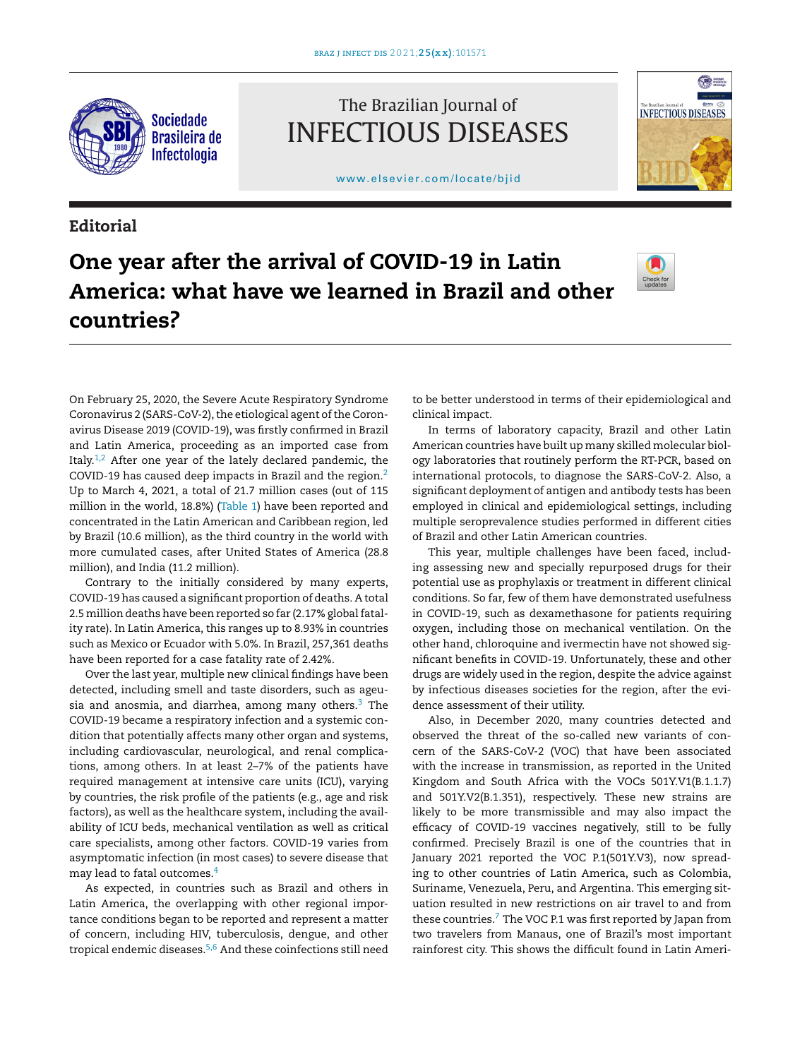

The Brazilian Journal of INFECTIOUS DISEASES

www.elsevier.com/locate/bjid



## **Editorial**

# **One year after the arrival of COVID-19 in Latin America: what have we learned in Brazil and other countries?**



On February 25, 2020, the Severe Acute Respiratory Syndrome Coronavirus 2 (SARS-CoV-2), the etiological agent of the Coronavirus Disease 2019 (COVID-19), was firstly confirmed in Brazil and Latin America, proceeding as an imported case from Italy. $1,2$  After one year of the lately declared pandemic, the COVID-19 has caused deep impacts in Brazil and the region.2 Up to March 4, 2021, a total of 21.7 million cases (out of 115 million in the world, 18.8%) (Table 1) have been reported and concentrated in the Latin American and Caribbean region, led by Brazil (10.6 million), as the third country in the world with more cumulated cases, after United States of America (28.8 million), and India (11.2 million).

Contrary to the initially considered by many experts, COVID-19 has caused a significant proportion of deaths. A total 2.5 million deaths have been reported so far (2.17% global fatality rate). In Latin America, this ranges up to 8.93% in countries such as Mexico or Ecuador with 5.0%. In Brazil, 257,361 deaths have been reported for a case fatality rate of 2.42%.

Over the last year, multiple new clinical findings have been detected, including smell and taste disorders, such as ageusia and anosmia, and diarrhea, among many others. $3$  The COVID-19 became a respiratory infection and a systemic condition that potentially affects many other organ and systems, including cardiovascular, neurological, and renal complications, among others. In at least 2–7% of the patients have required management at intensive care units (ICU), varying by countries, the risk profile of the patients (e.g., age and risk factors), as well as the healthcare system, including the availability of ICU beds, mechanical ventilation as well as critical care specialists, among other factors. COVID-19 varies from asymptomatic infection (in most cases) to severe disease that may lead to fatal outcomes.4

As expected, in countries such as Brazil and others in Latin America, the overlapping with other regional importance conditions began to be reported and represent a matter of concern, including HIV, tuberculosis, dengue, and other tropical endemic diseases.5,6 And these coinfections still need

to be better understood in terms of their epidemiological and clinical impact.

In terms of laboratory capacity, Brazil and other Latin American countries have built up many skilled molecular biology laboratories that routinely perform the RT-PCR, based on international protocols, to diagnose the SARS-CoV-2. Also, a significant deployment of antigen and antibody tests has been employed in clinical and epidemiological settings, including multiple seroprevalence studies performed in different cities of Brazil and other Latin American countries.

This year, multiple challenges have been faced, including assessing new and specially repurposed drugs for their potential use as prophylaxis or treatment in different clinical conditions. So far, few of them have demonstrated usefulness in COVID-19, such as dexamethasone for patients requiring oxygen, including those on mechanical ventilation. On the other hand, chloroquine and ivermectin have not showed significant benefits in COVID-19. Unfortunately, these and other drugs are widely used in the region, despite the advice against by infectious diseases societies for the region, after the evidence assessment of their utility.

Also, in December 2020, many countries detected and observed the threat of the so-called new variants of concern of the SARS-CoV-2 (VOC) that have been associated with the increase in transmission, as reported in the United Kingdom and South Africa with the VOCs 501Y.V1(B.1.1.7) and 501Y.V2(B.1.351), respectively. These new strains are likely to be more transmissible and may also impact the efficacy of COVID-19 vaccines negatively, still to be fully confirmed. Precisely Brazil is one of the countries that in January 2021 reported the VOC P.1(501Y.V3), now spreading to other countries of Latin America, such as Colombia, Suriname, Venezuela, Peru, and Argentina. This emerging situation resulted in new restrictions on air travel to and from these countries.<sup>7</sup> The VOC P.1 was first reported by Japan from two travelers from Manaus, one of Brazil's most important rainforest city. This shows the difficult found in Latin Ameri-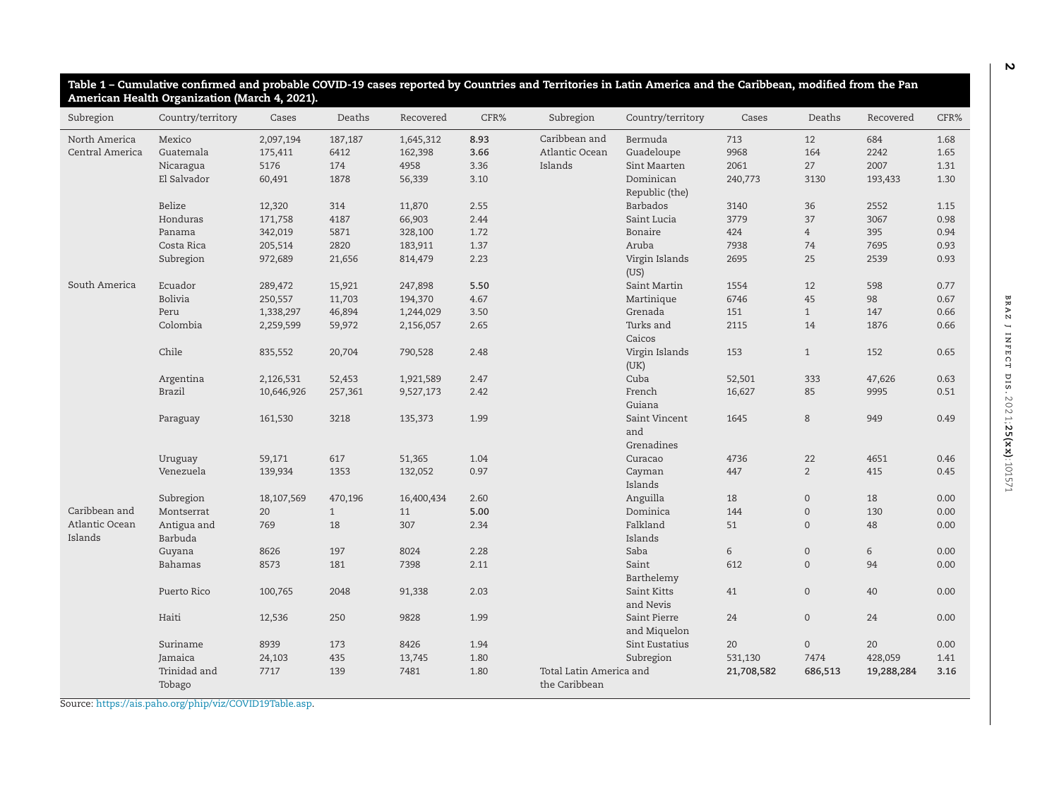| Subregion                 | Country/territory      | Cases      | Deaths       | Recovered  | CFR% | Subregion               | Country/territory                  | Cases      | Deaths              | Recovered  | CFR% |
|---------------------------|------------------------|------------|--------------|------------|------|-------------------------|------------------------------------|------------|---------------------|------------|------|
| North America             | Mexico                 | 2,097,194  | 187,187      | 1,645,312  | 8.93 | Caribbean and           | Bermuda                            | 713        | 12                  | 684        | 1.68 |
| Central America           | Guatemala              | 175,411    | 6412         | 162,398    | 3.66 | Atlantic Ocean          | Guadeloupe                         | 9968       | 164                 | 2242       | 1.65 |
|                           | Nicaragua              | 5176       | 174          | 4958       | 3.36 | Islands                 | Sint Maarten                       | 2061       | 27                  | 2007       | 1.31 |
|                           | El Salvador            | 60,491     | 1878         | 56,339     | 3.10 |                         | Dominican<br>Republic (the)        | 240,773    | 3130                | 193,433    | 1.30 |
|                           | Belize                 | 12,320     | 314          | 11,870     | 2.55 |                         | Barbados                           | 3140       | 36                  | 2552       | 1.15 |
|                           | Honduras               | 171,758    | 4187         | 66,903     | 2.44 |                         | Saint Lucia                        | 3779       | 37                  | 3067       | 0.98 |
|                           | Panama                 | 342,019    | 5871         | 328,100    | 1.72 |                         | Bonaire                            | 424        | $\overline{4}$      | 395        | 0.94 |
|                           | Costa Rica             | 205,514    | 2820         | 183,911    | 1.37 |                         | Aruba                              | 7938       | 74                  | 7695       | 0.93 |
|                           | Subregion              | 972,689    | 21,656       | 814,479    | 2.23 |                         | Virgin Islands<br>(US)             | 2695       | 25                  | 2539       | 0.93 |
| South America             | Ecuador                | 289,472    | 15,921       | 247,898    | 5.50 |                         | Saint Martin                       | 1554       | 12                  | 598        | 0.77 |
|                           | <b>Bolivia</b>         | 250,557    | 11,703       | 194,370    | 4.67 |                         | Martinique                         | 6746       | 45                  | 98         | 0.67 |
|                           | Peru                   | 1,338,297  | 46,894       | 1,244,029  | 3.50 |                         | Grenada                            | 151        | $\mathbf{1}$        | 147        | 0.66 |
|                           | Colombia               | 2,259,599  | 59,972       | 2,156,057  | 2.65 |                         | Turks and<br>Caicos                | 2115       | 14                  | 1876       | 0.66 |
|                           | Chile                  | 835,552    | 20,704       | 790,528    | 2.48 |                         | Virgin Islands<br>(UK)             | 153        | $\mathbf{1}$        | 152        | 0.65 |
|                           | Argentina              | 2,126,531  | 52,453       | 1,921,589  | 2.47 |                         | Cuba                               | 52,501     | 333                 | 47,626     | 0.63 |
|                           | <b>Brazil</b>          | 10,646,926 | 257,361      | 9,527,173  | 2.42 |                         | French<br>Guiana                   | 16,627     | 85                  | 9995       | 0.51 |
|                           | Paraguay               | 161,530    | 3218         | 135,373    | 1.99 |                         | Saint Vincent<br>and<br>Grenadines | 1645       | 8                   | 949        | 0.49 |
|                           | Uruguay                | 59,171     | 617          | 51,365     | 1.04 |                         | Curacao                            | 4736       | 22                  | 4651       | 0.46 |
|                           | Venezuela              | 139,934    | 1353         | 132,052    | 0.97 |                         | Cayman<br>Islands                  | 447        | $\overline{2}$      | 415        | 0.45 |
|                           | Subregion              | 18,107,569 | 470,196      | 16,400,434 | 2.60 |                         | Anguilla                           | 18         | $\mathbf 0$         | 18         | 0.00 |
| Caribbean and             | Montserrat             | 20         | $\mathbf{1}$ | 11         | 5.00 |                         | Dominica                           | 144        | $\mathsf{O}\xspace$ | 130        | 0.00 |
| Atlantic Ocean<br>Islands | Antigua and<br>Barbuda | 769        | 18           | 307        | 2.34 |                         | Falkland<br>Islands                | 51         | $\mathbf 0$         | 48         | 0.00 |
|                           | Guyana                 | 8626       | 197          | 8024       | 2.28 |                         | Saba                               | 6          | $\mathbf 0$         | 6          | 0.00 |
|                           | Bahamas                | 8573       | 181          | 7398       | 2.11 |                         | Saint<br>Barthelemy                | 612        | $\overline{0}$      | 94         | 0.00 |
|                           | Puerto Rico            | 100,765    | 2048         | 91,338     | 2.03 |                         | Saint Kitts<br>and Nevis           | 41         | $\mathsf{O}\xspace$ | 40         | 0.00 |
|                           | Haiti                  | 12,536     | 250          | 9828       | 1.99 |                         | Saint Pierre<br>and Miquelon       | 24         | $\mathbf 0$         | 24         | 0.00 |
|                           | Suriname               | 8939       | 173          | 8426       | 1.94 |                         | Sint Eustatius                     | 20         | $\mathsf{O}\xspace$ | 20         | 0.00 |
|                           | Jamaica                | 24,103     | 435          | 13,745     | 1.80 |                         | Subregion                          | 531,130    | 7474                | 428,059    | 1.41 |
|                           | Trinidad and           | 7717       | 139          | 7481       | 1.80 | Total Latin America and |                                    | 21,708,582 | 686,513             | 19,288,284 | 3.16 |
|                           | Tobago                 |            |              |            |      | the Caribbean           |                                    |            |                     |            |      |

Source: https://ais.paho.org/phip/viz/COVID19Table.asp.

**2**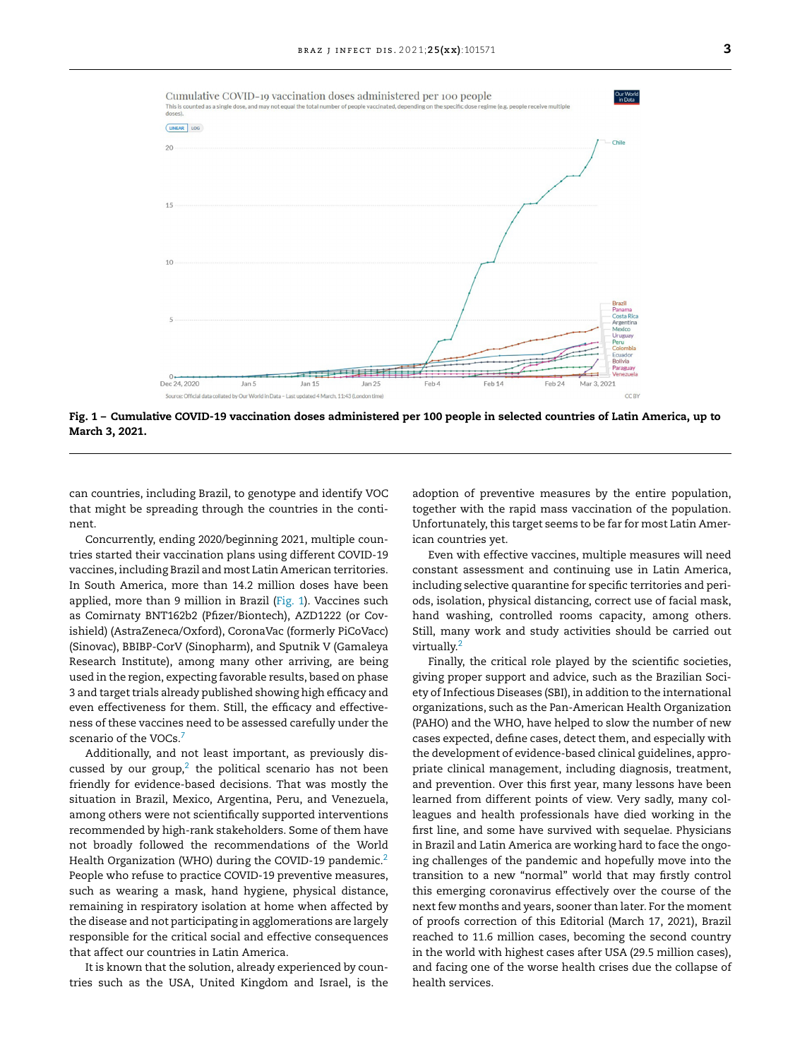

Fig. 1 - Cumulative COVID-19 vaccination doses administered per 100 people in selected countries of Latin America, up to **March 3, 2021.**

can countries, including Brazil, to genotype and identify VOC that might be spreading through the countries in the continent.

Concurrently, ending 2020/beginning 2021, multiple countries started their vaccination plans using different COVID-19 vaccines, including Brazil and most Latin American territories. In South America, more than 14.2 million doses have been applied, more than 9 million in Brazil (Fig. 1). Vaccines such as Comirnaty BNT162b2 (Pfizer/Biontech), AZD1222 (or Covishield) (AstraZeneca/Oxford), CoronaVac (formerly PiCoVacc) (Sinovac), BBIBP-CorV (Sinopharm), and Sputnik V (Gamaleya Research Institute), among many other arriving, are being used in the region, expecting favorable results, based on phase 3 and target trials already published showing high efficacy and even effectiveness for them. Still, the efficacy and effectiveness of these vaccines need to be assessed carefully under the scenario of the VOCs.<sup>7</sup>

Additionally, and not least important, as previously discussed by our group,<sup>2</sup> the political scenario has not been friendly for evidence-based decisions. That was mostly the situation in Brazil, Mexico, Argentina, Peru, and Venezuela, among others were not scientifically supported interventions recommended by high-rank stakeholders. Some of them have not broadly followed the recommendations of the World Health Organization (WHO) during the COVID-19 pandemic.<sup>2</sup> People who refuse to practice COVID-19 preventive measures, such as wearing a mask, hand hygiene, physical distance, remaining in respiratory isolation at home when affected by the disease and not participating in agglomerations are largely responsible for the critical social and effective consequences that affect our countries in Latin America.

It is known that the solution, already experienced by countries such as the USA, United Kingdom and Israel, is the

adoption of preventive measures by the entire population, together with the rapid mass vaccination of the population. Unfortunately, this target seems to be far for most Latin American countries yet.

Even with effective vaccines, multiple measures will need constant assessment and continuing use in Latin America, including selective quarantine for specific territories and periods, isolation, physical distancing, correct use of facial mask, hand washing, controlled rooms capacity, among others. Still, many work and study activities should be carried out virtually.<sup>2</sup>

Finally, the critical role played by the scientific societies, giving proper support and advice, such as the Brazilian Society of Infectious Diseases (SBI), in addition to the international organizations, such as the Pan-American Health Organization (PAHO) and the WHO, have helped to slow the number of new cases expected, define cases, detect them, and especially with the development of evidence-based clinical guidelines, appropriate clinical management, including diagnosis, treatment, and prevention. Over this first year, many lessons have been learned from different points of view. Very sadly, many colleagues and health professionals have died working in the first line, and some have survived with sequelae. Physicians in Brazil and Latin America are working hard to face the ongoing challenges of the pandemic and hopefully move into the transition to a new "normal" world that may firstly control this emerging coronavirus effectively over the course of the next few months and years, sooner than later. For the moment of proofs correction of this Editorial (March 17, 2021), Brazil reached to 11.6 million cases, becoming the second country in the world with highest cases after USA (29.5 million cases), and facing one of the worse health crises due the collapse of health services.